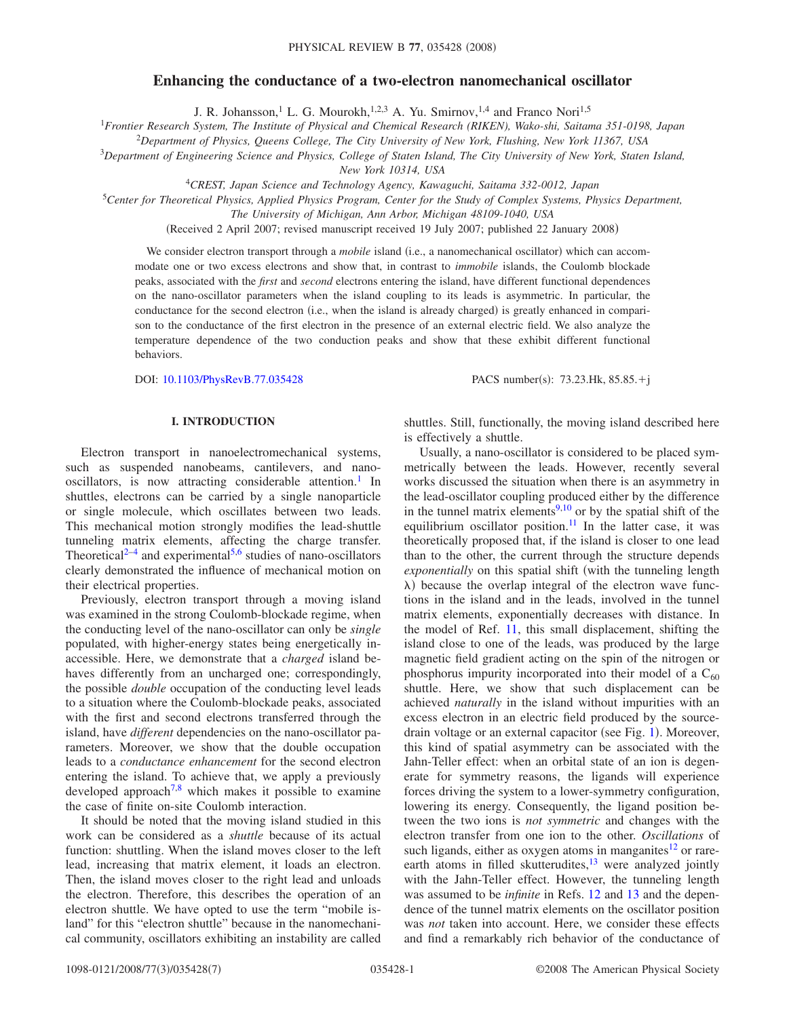# **Enhancing the conductance of a two-electron nanomechanical oscillator**

J. R. Johansson,<sup>1</sup> L. G. Mourokh,<sup>1,2,3</sup> A. Yu. Smirnov,<sup>1,4</sup> and Franco Nori<sup>1,5</sup>

1 *Frontier Research System, The Institute of Physical and Chemical Research (RIKEN), Wako-shi, Saitama 351-0198, Japan*

<sup>2</sup>*Department of Physics, Queens College, The City University of New York, Flushing, New York 11367, USA*

3 *Department of Engineering Science and Physics, College of Staten Island, The City University of New York, Staten Island,*

*New York 10314, USA*

<sup>4</sup>*CREST, Japan Science and Technology Agency, Kawaguchi, Saitama 332-0012, Japan*

<sup>5</sup>*Center for Theoretical Physics, Applied Physics Program, Center for the Study of Complex Systems, Physics Department,*

*The University of Michigan, Ann Arbor, Michigan 48109-1040, USA*

(Received 2 April 2007; revised manuscript received 19 July 2007; published 22 January 2008)

We consider electron transport through a *mobile* island (i.e., a nanomechanical oscillator) which can accommodate one or two excess electrons and show that, in contrast to *immobile* islands, the Coulomb blockade peaks, associated with the *first* and *second* electrons entering the island, have different functional dependences on the nano-oscillator parameters when the island coupling to its leads is asymmetric. In particular, the conductance for the second electron (i.e., when the island is already charged) is greatly enhanced in comparison to the conductance of the first electron in the presence of an external electric field. We also analyze the temperature dependence of the two conduction peaks and show that these exhibit different functional behaviors.

DOI: [10.1103/PhysRevB.77.035428](http://dx.doi.org/10.1103/PhysRevB.77.035428)

PACS number(s):  $73.23.Hk$ ,  $85.85.+j$ 

# **I. INTRODUCTION**

Electron transport in nanoelectromechanical systems, such as suspended nanobeams, cantilevers, and nanooscillators, is now attracting considerable attention.<sup>1</sup> In shuttles, electrons can be carried by a single nanoparticle or single molecule, which oscillates between two leads. This mechanical motion strongly modifies the lead-shuttle tunneling matrix elements, affecting the charge transfer. Theoretical<sup>2–[4](#page-6-2)</sup> and experimental<sup>5,[6](#page-6-4)</sup> studies of nano-oscillators clearly demonstrated the influence of mechanical motion on their electrical properties.

Previously, electron transport through a moving island was examined in the strong Coulomb-blockade regime, when the conducting level of the nano-oscillator can only be *single* populated, with higher-energy states being energetically inaccessible. Here, we demonstrate that a *charged* island behaves differently from an uncharged one; correspondingly, the possible *double* occupation of the conducting level leads to a situation where the Coulomb-blockade peaks, associated with the first and second electrons transferred through the island, have *different* dependencies on the nano-oscillator parameters. Moreover, we show that the double occupation leads to a *conductance enhancement* for the second electron entering the island. To achieve that, we apply a previously developed approach<sup>7[,8](#page-6-6)</sup> which makes it possible to examine the case of finite on-site Coulomb interaction.

It should be noted that the moving island studied in this work can be considered as a *shuttle* because of its actual function: shuttling. When the island moves closer to the left lead, increasing that matrix element, it loads an electron. Then, the island moves closer to the right lead and unloads the electron. Therefore, this describes the operation of an electron shuttle. We have opted to use the term "mobile island" for this "electron shuttle" because in the nanomechanical community, oscillators exhibiting an instability are called shuttles. Still, functionally, the moving island described here is effectively a shuttle.

Usually, a nano-oscillator is considered to be placed symmetrically between the leads. However, recently several works discussed the situation when there is an asymmetry in the lead-oscillator coupling produced either by the difference in the tunnel matrix elements<sup>9,[10](#page-6-8)</sup> or by the spatial shift of the equilibrium oscillator position.<sup>11</sup> In the latter case, it was theoretically proposed that, if the island is closer to one lead than to the other, the current through the structure depends *exponentially* on this spatial shift (with the tunneling length  $\lambda$ ) because the overlap integral of the electron wave functions in the island and in the leads, involved in the tunnel matrix elements, exponentially decreases with distance. In the model of Ref. [11,](#page-6-9) this small displacement, shifting the island close to one of the leads, was produced by the large magnetic field gradient acting on the spin of the nitrogen or phosphorus impurity incorporated into their model of a  $C_{60}$ shuttle. Here, we show that such displacement can be achieved *naturally* in the island without impurities with an excess electron in an electric field produced by the source-drain voltage or an external capacitor (see Fig. [1](#page-1-0)). Moreover, this kind of spatial asymmetry can be associated with the Jahn-Teller effect: when an orbital state of an ion is degenerate for symmetry reasons, the ligands will experience forces driving the system to a lower-symmetry configuration, lowering its energy. Consequently, the ligand position between the two ions is *not symmetric* and changes with the electron transfer from one ion to the other. *Oscillations* of such ligands, either as oxygen atoms in manganites<sup>12</sup> or rareearth atoms in filled skutterudites, $13$  were analyzed jointly with the Jahn-Teller effect. However, the tunneling length was assumed to be *infinite* in Refs. [12](#page-6-10) and [13](#page-6-11) and the dependence of the tunnel matrix elements on the oscillator position was *not* taken into account. Here, we consider these effects and find a remarkably rich behavior of the conductance of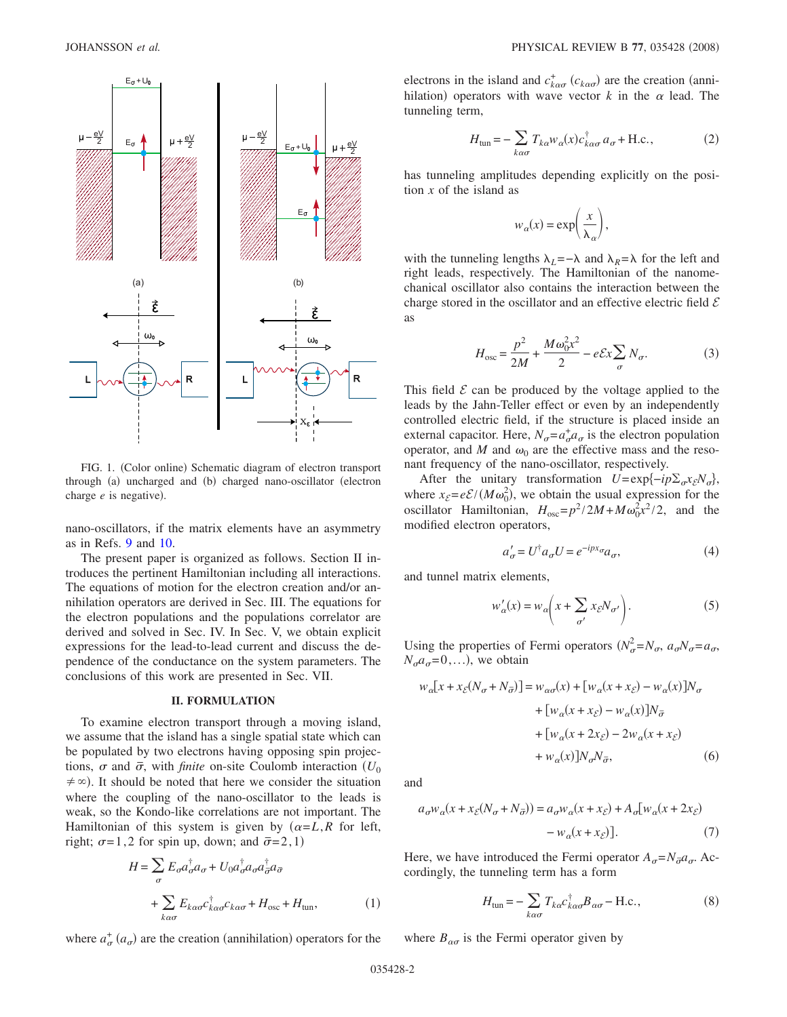<span id="page-1-0"></span>

FIG. 1. (Color online) Schematic diagram of electron transport through (a) uncharged and (b) charged nano-oscillator (electron charge  $e$  is negative).

nano-oscillators, if the matrix elements have an asymmetry as in Refs. [9](#page-6-7) and [10.](#page-6-8)

The present paper is organized as follows. Section II introduces the pertinent Hamiltonian including all interactions. The equations of motion for the electron creation and/or annihilation operators are derived in Sec. III. The equations for the electron populations and the populations correlator are derived and solved in Sec. IV. In Sec. V, we obtain explicit expressions for the lead-to-lead current and discuss the dependence of the conductance on the system parameters. The conclusions of this work are presented in Sec. VII.

### **II. FORMULATION**

To examine electron transport through a moving island, we assume that the island has a single spatial state which can be populated by two electrons having opposing spin projections,  $\sigma$  and  $\bar{\sigma}$ , with *finite* on-site Coulomb interaction  $(U_0)$  $\neq \infty$ ). It should be noted that here we consider the situation where the coupling of the nano-oscillator to the leads is weak, so the Kondo-like correlations are not important. The Hamiltonian of this system is given by  $(\alpha=L, R$  for left, right;  $\sigma = 1, 2$  for spin up, down; and  $\bar{\sigma} = 2, 1$ )

<span id="page-1-1"></span>
$$
H = \sum_{\sigma} E_{\sigma} a_{\sigma}^{\dagger} a_{\sigma} + U_0 a_{\sigma}^{\dagger} a_{\sigma} a_{\sigma}^{\dagger} a_{\bar{\sigma}}
$$

$$
+ \sum_{k \alpha \sigma} E_{k \alpha \sigma} c_{k \alpha \sigma}^{\dagger} c_{k \alpha \sigma} + H_{\text{osc}} + H_{\text{tun}}, \tag{1}
$$

where  $a^+_{\sigma}(a_{\sigma})$  are the creation (annihilation) operators for the

electrons in the island and  $c^{\dagger}_{k\alpha\sigma}$  ( $c_{k\alpha\sigma}$ ) are the creation (annihilation) operators with wave vector  $k$  in the  $\alpha$  lead. The tunneling term,

$$
H_{\text{tun}} = -\sum_{k\alpha\sigma} T_{k\alpha} w_{\alpha}(x) c_{k\alpha\sigma}^{\dagger} a_{\sigma} + \text{H.c.}, \qquad (2)
$$

has tunneling amplitudes depending explicitly on the position *x* of the island as

$$
w_{\alpha}(x) = \exp\bigg(\frac{x}{\lambda_{\alpha}}\bigg),
$$

with the tunneling lengths  $\lambda_L = -\lambda$  and  $\lambda_R = \lambda$  for the left and right leads, respectively. The Hamiltonian of the nanomechanical oscillator also contains the interaction between the charge stored in the oscillator and an effective electric field  $\mathcal E$ as

$$
H_{\text{osc}} = \frac{p^2}{2M} + \frac{M\omega_0^2 x^2}{2} - e\mathcal{E}x \sum_{\sigma} N_{\sigma}.
$$
 (3)

This field  $\mathcal E$  can be produced by the voltage applied to the leads by the Jahn-Teller effect or even by an independently controlled electric field, if the structure is placed inside an external capacitor. Here,  $N_{\sigma} = a_{\sigma}^{+} a_{\sigma}$  is the electron population operator, and *M* and  $\omega_0$  are the effective mass and the resonant frequency of the nano-oscillator, respectively.

After the unitary transformation  $U = \exp{-ip\Sigma_{\alpha}x_{\xi}N_{\alpha}}$ , where  $x_{\mathcal{E}} = e\mathcal{E}/(M\omega_0^2)$ , we obtain the usual expression for the oscillator Hamiltonian,  $H_{\text{osc}} = p^2 / 2M + M \omega_0^2 x^2 / 2$ , and the modified electron operators,

$$
a'_{\sigma} = U^{\dagger} a_{\sigma} U = e^{-ipx_{\sigma}} a_{\sigma}, \tag{4}
$$

and tunnel matrix elements,

$$
w'_{\alpha}(x) = w_{\alpha}\left(x + \sum_{\sigma'} x_{\mathcal{E}} N_{\sigma'}\right).
$$
 (5)

Using the properties of Fermi operators  $(N_{\sigma}^2 = N_{\sigma}, a_{\sigma}N_{\sigma} = a_{\sigma},$  $N_{\sigma}a_{\sigma}=0,...$ , we obtain

$$
w_{\alpha}[x + x_{\mathcal{E}}(N_{\sigma} + N_{\overline{\sigma}})] = w_{\alpha\sigma}(x) + [w_{\alpha}(x + x_{\mathcal{E}}) - w_{\alpha}(x)]N_{\sigma}
$$

$$
+ [w_{\alpha}(x + x_{\mathcal{E}}) - w_{\alpha}(x)]N_{\overline{\sigma}}
$$

$$
+ [w_{\alpha}(x + 2x_{\mathcal{E}}) - 2w_{\alpha}(x + x_{\mathcal{E}})
$$

$$
+ w_{\alpha}(x)]N_{\sigma}N_{\overline{\sigma}}, \qquad (6)
$$

and

$$
a_{\sigma}w_{\alpha}(x + x_{\mathcal{E}}(N_{\sigma} + N_{\overline{\sigma}})) = a_{\sigma}w_{\alpha}(x + x_{\mathcal{E}}) + A_{\sigma}[w_{\alpha}(x + 2x_{\mathcal{E}})
$$

$$
- w_{\alpha}(x + x_{\mathcal{E}})]. \tag{7}
$$

Here, we have introduced the Fermi operator  $A_{\sigma} = N_{\bar{\sigma}} a_{\sigma}$ . Accordingly, the tunneling term has a form

$$
H_{\text{tun}} = -\sum_{k\alpha\sigma} T_{k\alpha} c_{k\alpha\sigma}^{\dagger} B_{\alpha\sigma} - \text{H.c.},\tag{8}
$$

where  $B_{\alpha\sigma}$  is the Fermi operator given by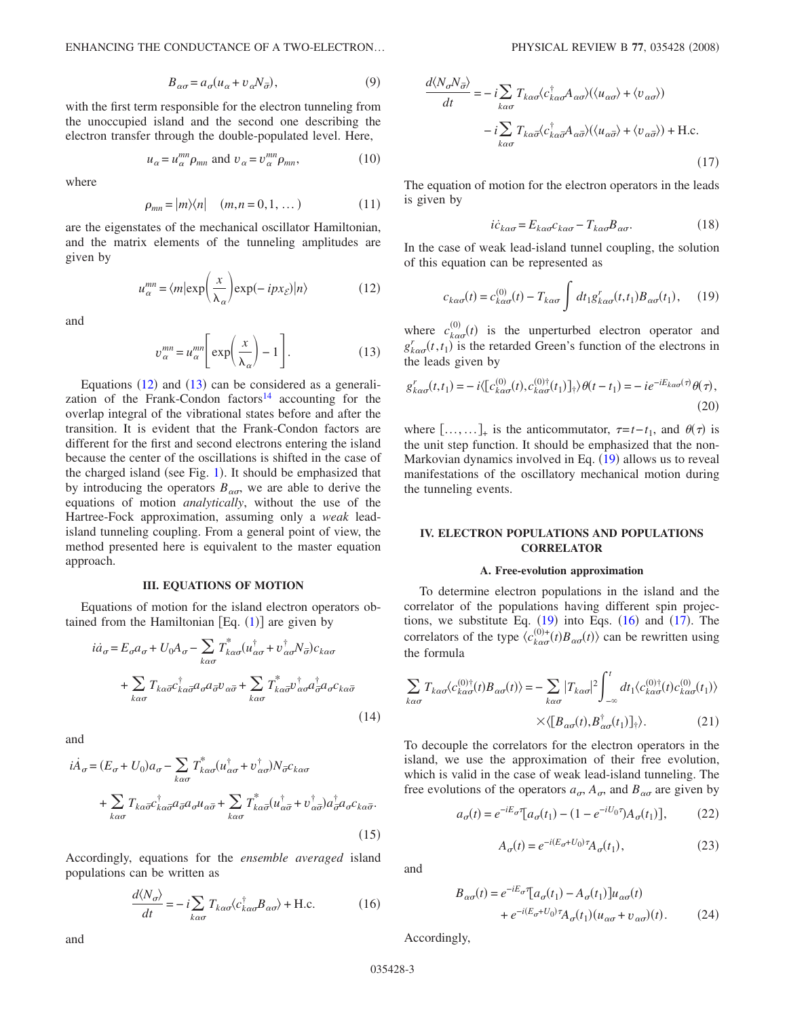$$
B_{\alpha\sigma} = a_{\sigma}(u_{\alpha} + v_{\alpha}N_{\bar{\sigma}}),\tag{9}
$$

<span id="page-2-5"></span>with the first term responsible for the electron tunneling from the unoccupied island and the second one describing the electron transfer through the double-populated level. Here,

$$
u_{\alpha} = u_{\alpha}^{mn} \rho_{mn} \text{ and } v_{\alpha} = v_{\alpha}^{mn} \rho_{mn}, \qquad (10)
$$

where

$$
\rho_{mn} = |m\rangle\langle n| \quad (m, n = 0, 1, \dots) \tag{11}
$$

<span id="page-2-0"></span>are the eigenstates of the mechanical oscillator Hamiltonian, and the matrix elements of the tunneling amplitudes are given by

$$
u_{\alpha}^{mn} = \langle m | \exp\left(\frac{x}{\lambda_{\alpha}}\right) \exp(-ipx_{\mathcal{E}}) | n \rangle \tag{12}
$$

<span id="page-2-1"></span>and

$$
v_{\alpha}^{mn} = u_{\alpha}^{mn} \bigg[ \exp\bigg(\frac{x}{\lambda_{\alpha}}\bigg) - 1 \bigg].
$$
 (13)

Equations  $(12)$  $(12)$  $(12)$  and  $(13)$  $(13)$  $(13)$  can be considered as a generalization of the Frank-Condon factors<sup>14</sup> accounting for the overlap integral of the vibrational states before and after the transition. It is evident that the Frank-Condon factors are different for the first and second electrons entering the island because the center of the oscillations is shifted in the case of the charged island (see Fig.  $1$ ). It should be emphasized that by introducing the operators  $B_{\alpha\sigma}$ , we are able to derive the equations of motion *analytically*, without the use of the Hartree-Fock approximation, assuming only a *weak* leadisland tunneling coupling. From a general point of view, the method presented here is equivalent to the master equation approach.

#### **III. EQUATIONS OF MOTION**

Equations of motion for the island electron operators obtained from the Hamiltonian  $[Eq. (1)]$  $[Eq. (1)]$  $[Eq. (1)]$  are given by

$$
i\dot{a}_{\sigma} = E_{\sigma}a_{\sigma} + U_0A_{\sigma} - \sum_{k\alpha\sigma} T_{k\alpha\sigma}^{\dagger} (u_{\alpha\sigma}^{\dagger} + v_{\alpha\sigma}^{\dagger} N_{\overline{\sigma}}) c_{k\alpha\sigma} + \sum_{k\alpha\sigma} T_{k\alpha\overline{\sigma}} c_{k\alpha\overline{\sigma}}^{\dagger} a_{\sigma} a_{\overline{\sigma}} v_{\alpha\overline{\sigma}} + \sum_{k\alpha\sigma} T_{k\alpha\overline{\sigma}}^{\dagger} v_{\alpha\sigma}^{\dagger} a_{\sigma}^{\dagger} a_{\sigma} c_{k\alpha\overline{\sigma}} \tag{14}
$$

and

$$
i\dot{A}_{\sigma} = (E_{\sigma} + U_0)a_{\sigma} - \sum_{k\alpha\sigma} T_{k\alpha\sigma}^* (u_{\alpha\sigma}^{\dagger} + v_{\alpha\sigma}^{\dagger}) N_{\overline{\sigma}} c_{k\alpha\sigma} + \sum_{k\alpha\sigma} T_{k\alpha\overline{\sigma}} c_{k\alpha\overline{\sigma}}^{\dagger} a_{\overline{\sigma}} a_{\sigma} u_{\alpha\overline{\sigma}} + \sum_{k\alpha\sigma} T_{k\alpha\overline{\sigma}}^* (u_{\alpha\overline{\sigma}}^{\dagger} + v_{\alpha\overline{\sigma}}^{\dagger}) a_{\sigma}^{\dagger} a_{\sigma} c_{k\alpha\overline{\sigma}}.
$$
\n(15)

<span id="page-2-3"></span>Accordingly, equations for the *ensemble averaged* island populations can be written as

$$
\frac{d\langle N_{\sigma}\rangle}{dt} = -i\sum_{k\alpha\sigma} T_{k\alpha\sigma} \langle c_{k\alpha\sigma}^{\dagger} B_{\alpha\sigma} \rangle + \text{H.c.}
$$
 (16)

<span id="page-2-4"></span>
$$
\frac{d\langle N_{\sigma}N_{\bar{\sigma}}\rangle}{dt} = -i\sum_{k\alpha\sigma}T_{k\alpha\sigma}\langle c_{k\alpha\sigma}^{\dagger}A_{\alpha\sigma}\rangle(\langle u_{\alpha\sigma}\rangle + \langle v_{\alpha\sigma}\rangle) \n-i\sum_{k\alpha\sigma}T_{k\alpha\bar{\sigma}}\langle c_{k\alpha\bar{\sigma}}^{\dagger}A_{\alpha\bar{\sigma}}\rangle(\langle u_{\alpha\bar{\sigma}}\rangle + \langle v_{\alpha\bar{\sigma}}\rangle) + \text{H.c.}
$$
\n(17)

The equation of motion for the electron operators in the leads is given by

$$
i\dot{c}_{k\alpha\sigma} = E_{k\alpha\sigma}c_{k\alpha\sigma} - T_{k\alpha\sigma}B_{\alpha\sigma}.
$$
 (18)

<span id="page-2-2"></span>In the case of weak lead-island tunnel coupling, the solution of this equation can be represented as

$$
c_{k\alpha\sigma}(t) = c_{k\alpha\sigma}^{(0)}(t) - T_{k\alpha\sigma} \int dt_1 g_{k\alpha\sigma}^r(t, t_1) B_{\alpha\sigma}(t_1), \quad (19)
$$

where  $c_{k\alpha\sigma}^{(0)}(t)$  is the unperturbed electron operator and  $g_{k\alpha\sigma}^r(t,t_1)$  is the retarded Green's function of the electrons in the leads given by

$$
g_{k\alpha\sigma}^r(t,t_1) = -i\langle [c_{k\alpha\sigma}^{(0)}(t), c_{k\alpha\sigma}^{(0)\dagger}(t_1)]_{\dagger} \rangle \theta(t-t_1) = -ie^{-iE_{k\alpha\sigma}(\tau)}\theta(\tau),
$$
\n(20)

where  $[\dots, \dots]_+$  is the anticommutator,  $\tau = t - t_1$ , and  $\theta(\tau)$  is the unit step function. It should be emphasized that the non-Markovian dynamics involved in Eq. ([19](#page-2-2)) allows us to reveal manifestations of the oscillatory mechanical motion during the tunneling events.

# **IV. ELECTRON POPULATIONS AND POPULATIONS CORRELATOR**

# **A. Free-evolution approximation**

To determine electron populations in the island and the correlator of the populations having different spin projections, we substitute Eq.  $(19)$  $(19)$  $(19)$  into Eqs.  $(16)$  $(16)$  $(16)$  and  $(17)$  $(17)$  $(17)$ . The correlators of the type  $\langle c_{k\alpha\sigma}^{(0)+}(t)B_{\alpha\sigma}(t)\rangle$  can be rewritten using the formula

$$
\sum_{k\alpha\sigma} T_{k\alpha\sigma} \langle c_{k\alpha\sigma}^{(0)\dagger}(t) B_{\alpha\sigma}(t) \rangle = - \sum_{k\alpha\sigma} |T_{k\alpha\sigma}|^2 \int_{-\infty}^t dt_1 \langle c_{k\alpha\sigma}^{(0)\dagger}(t) c_{k\alpha\sigma}^{(0)}(t_1) \rangle
$$

$$
\times \langle [B_{\alpha\sigma}(t), B_{\alpha\sigma}^{\dagger}(t_1)]_{\dagger} \rangle. \tag{21}
$$

To decouple the correlators for the electron operators in the island, we use the approximation of their free evolution, which is valid in the case of weak lead-island tunneling. The free evolutions of the operators  $a_{\sigma}$ ,  $A_{\sigma}$ , and  $B_{\alpha\sigma}$  are given by

$$
a_{\sigma}(t) = e^{-iE_{\sigma}} [a_{\sigma}(t_1) - (1 - e^{-iU_0 \tau}) A_{\sigma}(t_1)],
$$
 (22)

$$
A_{\sigma}(t) = e^{-i(E_{\sigma} + U_0)\tau} A_{\sigma}(t_1),
$$
\n(23)

and

$$
B_{\alpha\sigma}(t) = e^{-iE_{\sigma} \tau} [a_{\sigma}(t_1) - A_{\sigma}(t_1)] u_{\alpha\sigma}(t)
$$
  
+ 
$$
e^{-i(E_{\sigma} + U_0)\tau} A_{\sigma}(t_1) (u_{\alpha\sigma} + v_{\alpha\sigma})(t).
$$
 (24)

Accordingly,

035428-3

and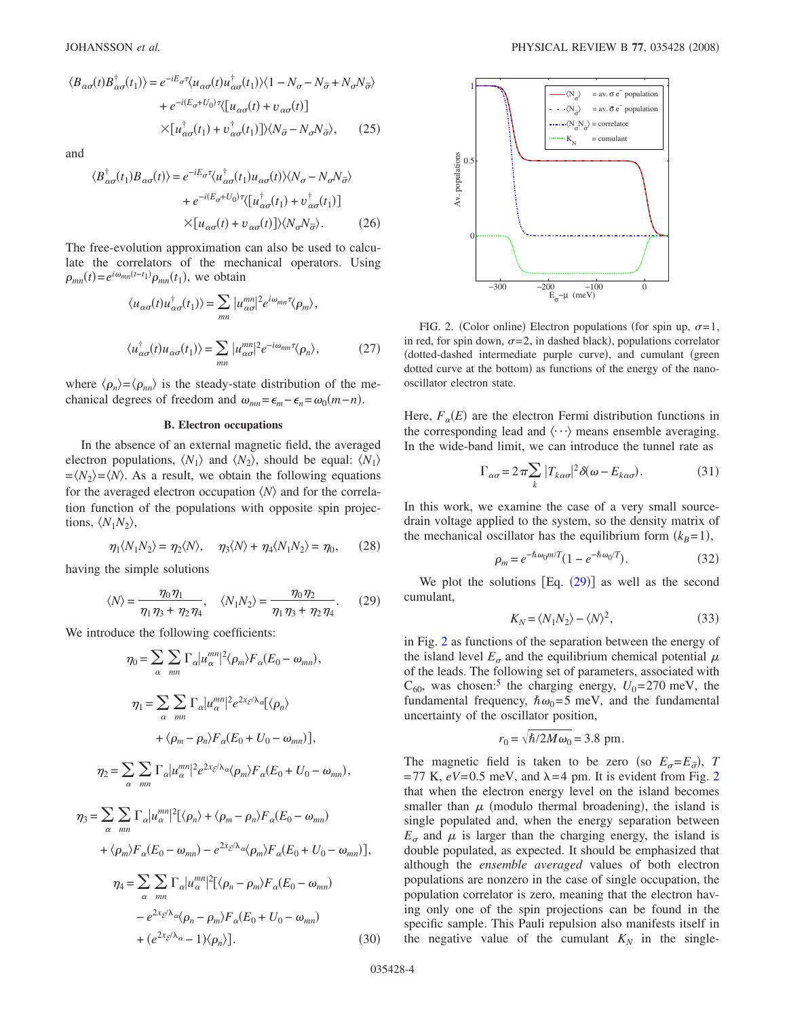$$
\langle B_{\alpha\sigma}(t)B_{\alpha\sigma}^{\dagger}(t_{1})\rangle = e^{-iE_{\sigma}\tau}\langle u_{\alpha\sigma}(t)u_{\alpha\sigma}^{\dagger}(t_{1})\rangle\langle 1 - N_{\sigma} - N_{\overline{\sigma}} + N_{\sigma}N_{\overline{\sigma}}\rangle
$$
  
+ 
$$
e^{-i(E_{\sigma}+U_{0})\tau}\langle [u_{\alpha\sigma}(t) + v_{\alpha\sigma}(t)]
$$
  

$$
\times [u_{\alpha\sigma}^{\dagger}(t_{1}) + v_{\alpha\sigma}^{\dagger}(t_{1})]\rangle\langle N_{\overline{\sigma}} - N_{\sigma}N_{\overline{\sigma}}\rangle, \qquad (25)
$$

and

$$
\langle B_{\alpha\sigma}^{\dagger}(t_1)B_{\alpha\sigma}(t)\rangle = e^{-iE_{\sigma}\tau}\langle u_{\alpha\sigma}^{\dagger}(t_1)u_{\alpha\sigma}(t)\rangle\langle N_{\sigma} - N_{\sigma}N_{\overline{\sigma}}\rangle
$$
  
+ 
$$
e^{-i(E_{\sigma}+U_0)\tau}\langle [u_{\alpha\sigma}^{\dagger}(t_1) + v_{\alpha\sigma}^{\dagger}(t_1)]
$$
  

$$
\times [u_{\alpha\sigma}(t) + v_{\alpha\sigma}(t)]\rangle\langle N_{\sigma}N_{\overline{\sigma}}\rangle. \tag{26}
$$

The free-evolution approximation can also be used to calculate the correlators of the mechanical operators. Using  $\rho_{mn}(t) = e^{i\omega_{mn}(t-t_1)} \rho_{mn}(t_1)$ , we obtain

$$
\langle u_{\alpha\sigma}(t)u_{\alpha\sigma}^{\dagger}(t_{1})\rangle = \sum_{mn} |u_{\alpha\sigma}^{mn}|^{2} e^{i\omega_{mn}\tau} \langle \rho_{m}\rangle,
$$
  

$$
\langle u_{\alpha\sigma}^{\dagger}(t)u_{\alpha\sigma}(t_{1})\rangle = \sum_{mn} |u_{\alpha\sigma}^{mn}|^{2} e^{-i\omega_{mn}\tau} \langle \rho_{n}\rangle,
$$
 (27)

where  $\langle \rho_n \rangle = \langle \rho_{nn} \rangle$  is the steady-state distribution of the mechanical degrees of freedom and  $\omega_{mn} = \epsilon_m - \epsilon_n = \omega_0(m - n)$ .

## **B. Electron occupations**

In the absence of an external magnetic field, the averaged electron populations,  $\langle N_1 \rangle$  and  $\langle N_2 \rangle$ , should be equal:  $\langle N_1 \rangle$  $\equiv \langle N_2 \rangle = \langle N \rangle$ . As a result, we obtain the following equations for the averaged electron occupation  $\langle N \rangle$  and for the correlation function of the populations with opposite spin projections,  $\langle N_1 N_2 \rangle$ ,

$$
\eta_1 \langle N_1 N_2 \rangle = \eta_2 \langle N \rangle, \quad \eta_3 \langle N \rangle + \eta_4 \langle N_1 N_2 \rangle = \eta_0, \quad (28)
$$

<span id="page-3-0"></span>having the simple solutions

$$
\langle N \rangle = \frac{\eta_0 \eta_1}{\eta_1 \eta_3 + \eta_2 \eta_4}, \quad \langle N_1 N_2 \rangle = \frac{\eta_0 \eta_2}{\eta_1 \eta_3 + \eta_2 \eta_4}.
$$
 (29)

We introduce the following coefficients:

$$
\eta_0 = \sum_{\alpha} \sum_{mn} \Gamma_{\alpha} |u_{\alpha}^{mn}|^2 \langle \rho_m \rangle F_{\alpha} (E_0 - \omega_{mn}),
$$
  

$$
\eta_1 = \sum_{\alpha} \sum_{mn} \Gamma_{\alpha} |u_{\alpha}^{mn}|^2 e^{2x \xi / \lambda_{\alpha}} [\langle \rho_n \rangle
$$
  

$$
+ \langle \rho_m - \rho_n \rangle F_{\alpha} (E_0 + U_0 - \omega_{mn})],
$$
  

$$
\eta_2 = \sum_{\alpha} \sum_{mn} \Gamma_{\alpha} |u_{\alpha}^{mn}|^2 e^{2x \xi / \lambda_{\alpha}} \langle \rho_m \rangle F_{\alpha} (E_0 + U_0 - \omega_{mn}),
$$

$$
\eta_3 = \sum_{\alpha} \sum_{mn} \Gamma_{\alpha} |u_{\alpha}^{mn}|^2 [\langle \rho_n \rangle + \langle \rho_m - \rho_n \rangle F_{\alpha} (E_0 - \omega_{mn})
$$
  
+  $\langle \rho_m \rangle F_{\alpha} (E_0 - \omega_{mn}) - e^{2x_{\xi}/\lambda_{\alpha}} \langle \rho_m \rangle F_{\alpha} (E_0 + U_0 - \omega_{mn})],$   

$$
\eta_4 = \sum_{\alpha} \sum_{mn} \Gamma_{\alpha} |u_{\alpha}^{mn}|^2 [\langle \rho_n - \rho_m \rangle F_{\alpha} (E_0 - \omega_{mn})
$$
  
-  $e^{2x_{\xi}/\lambda_{\alpha}} \langle \rho_n - \rho_m \rangle F_{\alpha} (E_0 + U_0 - \omega_{mn})$   
+  $(e^{2x_{\xi}/\lambda_{\alpha}} - 1) \langle \rho_n \rangle].$  (30)

<span id="page-3-1"></span>

FIG. 2. (Color online) Electron populations (for spin up,  $\sigma=1$ , in red, for spin down,  $\sigma = 2$ , in dashed black), populations correlator (dotted-dashed intermediate purple curve), and cumulant (green dotted curve at the bottom) as functions of the energy of the nanooscillator electron state.

Here,  $F_{\alpha}(E)$  are the electron Fermi distribution functions in the corresponding lead and  $\langle \cdots \rangle$  means ensemble averaging. In the wide-band limit, we can introduce the tunnel rate as

$$
\Gamma_{\alpha\sigma} = 2\pi \sum_{k} |T_{k\alpha\sigma}|^2 \delta(\omega - E_{k\alpha\sigma}). \tag{31}
$$

In this work, we examine the case of a very small sourcedrain voltage applied to the system, so the density matrix of the mechanical oscillator has the equilibrium form  $(k_B=1)$ ,

$$
\rho_m = e^{-\hbar \omega_0 m/T} (1 - e^{-\hbar \omega_0/T}). \tag{32}
$$

We plot the solutions  $[Eq. (29)]$  $[Eq. (29)]$  $[Eq. (29)]$  as well as the second cumulant,

$$
K_N = \langle N_1 N_2 \rangle - \langle N \rangle^2, \tag{33}
$$

in Fig. [2](#page-3-1) as functions of the separation between the energy of the island level  $E_{\sigma}$  and the equilibrium chemical potential  $\mu$ of the leads. The following set of parameters, associated with  $C_{60}$ , was chosen:<sup>5</sup> the charging energy,  $U_0$ =270 meV, the fundamental frequency,  $\hbar \omega_0 = 5$  meV, and the fundamental uncertainty of the oscillator position,

$$
r_0 = \sqrt{\hbar/2M\omega_0} = 3.8 \text{ pm}.
$$

The magnetic field is taken to be zero (so  $E_{\sigma} = E_{\bar{\sigma}}$ ), *T*  $= 77$  K,  $eV = 0.5$  meV, and  $\lambda = 4$  pm. It is evident from Fig. [2](#page-3-1) that when the electron energy level on the island becomes smaller than  $\mu$  (modulo thermal broadening), the island is single populated and, when the energy separation between  $E_{\sigma}$  and  $\mu$  is larger than the charging energy, the island is double populated, as expected. It should be emphasized that although the *ensemble averaged* values of both electron populations are nonzero in the case of single occupation, the population correlator is zero, meaning that the electron having only one of the spin projections can be found in the specific sample. This Pauli repulsion also manifests itself in the negative value of the cumulant  $K_N$  in the single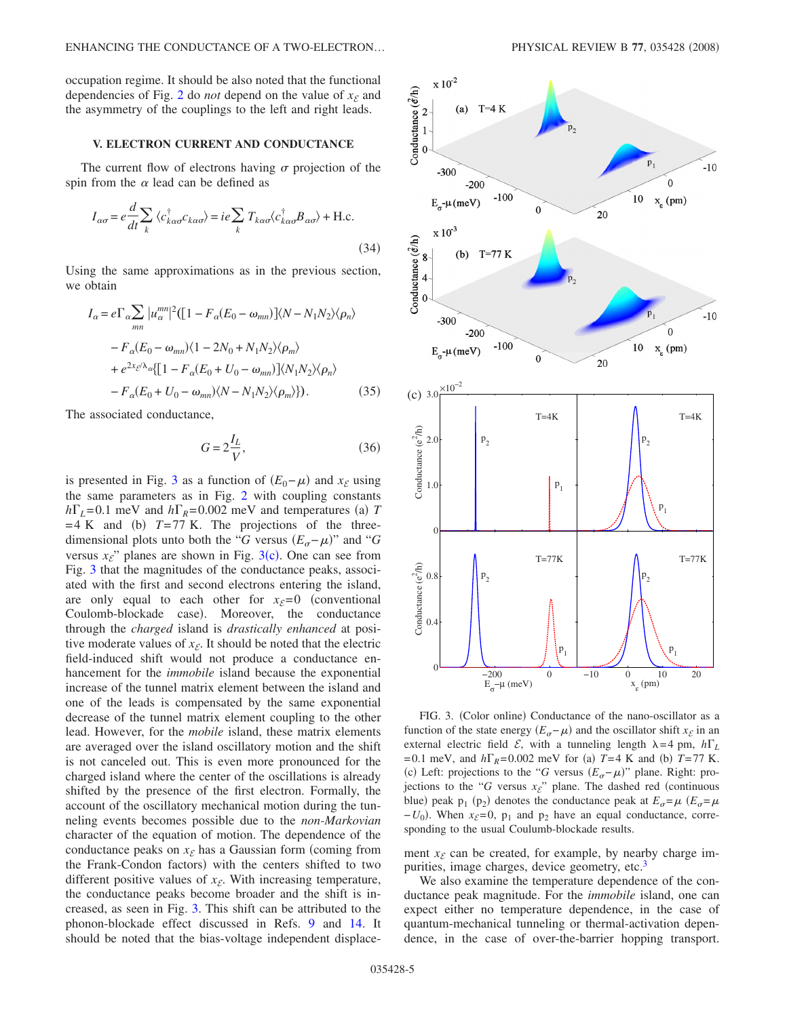occupation regime. It should be also noted that the functional dependencies of Fig. [2](#page-3-1) do *not* depend on the value of  $x_{\mathcal{E}}$  and the asymmetry of the couplings to the left and right leads.

### **V. ELECTRON CURRENT AND CONDUCTANCE**

The current flow of electrons having  $\sigma$  projection of the spin from the  $\alpha$  lead can be defined as

$$
I_{\alpha\sigma} = e \frac{d}{dt} \sum_{k} \langle c_{k\alpha\sigma}^{\dagger} c_{k\alpha\sigma} \rangle = ie \sum_{k} T_{k\alpha\sigma} \langle c_{k\alpha\sigma}^{\dagger} B_{\alpha\sigma} \rangle + \text{H.c.}
$$
\n(34)

Using the same approximations as in the previous section, we obtain

<span id="page-4-1"></span>
$$
I_{\alpha} = e\Gamma_{\alpha} \sum_{mn} |u_{\alpha}^{mn}|^2 \langle [1 - F_{\alpha} (E_0 - \omega_{mn})] \langle N - N_1 N_2 \rangle \langle \rho_n \rangle
$$
  

$$
- F_{\alpha} (E_0 - \omega_{mn}) \langle 1 - 2N_0 + N_1 N_2 \rangle \langle \rho_m \rangle
$$
  

$$
+ e^{2x \varepsilon / \lambda_{\alpha}} \langle [1 - F_{\alpha} (E_0 + U_0 - \omega_{mn})] \langle N_1 N_2 \rangle \langle \rho_n \rangle
$$
  

$$
- F_{\alpha} (E_0 + U_0 - \omega_{mn}) \langle N - N_1 N_2 \rangle \langle \rho_m \rangle \rangle).
$$
 (35)

The associated conductance,

$$
G = 2\frac{I_L}{V},\tag{36}
$$

is presented in Fig. [3](#page-4-0) as a function of  $(E_0 - \mu)$  and  $x_{\mathcal{E}}$  using the same parameters as in Fig. [2](#page-3-1) with coupling constants  $h\Gamma_L$ = 0.1 meV and  $h\Gamma_R$ = 0.002 meV and temperatures (a) *T*  $=$  4 K and (b)  $T=$  77 K. The projections of the threedimensional plots unto both the "*G* versus  $(E_{\sigma} - \mu)$ " and "*G* versus  $x_{\mathcal{E}}$ " planes are shown in Fig. [3](#page-4-0)(c). One can see from Fig. [3](#page-4-0) that the magnitudes of the conductance peaks, associated with the first and second electrons entering the island, are only equal to each other for  $x_{\mathcal{E}}=0$  (conventional Coulomb-blockade case). Moreover, the conductance through the *charged* island is *drastically enhanced* at positive moderate values of  $x<sub>f</sub>$ . It should be noted that the electric field-induced shift would not produce a conductance enhancement for the *immobile* island because the exponential increase of the tunnel matrix element between the island and one of the leads is compensated by the same exponential decrease of the tunnel matrix element coupling to the other lead. However, for the *mobile* island, these matrix elements are averaged over the island oscillatory motion and the shift is not canceled out. This is even more pronounced for the charged island where the center of the oscillations is already shifted by the presence of the first electron. Formally, the account of the oscillatory mechanical motion during the tunneling events becomes possible due to the *non-Markovian* character of the equation of motion. The dependence of the conductance peaks on  $x<sub>F</sub>$  has a Gaussian form (coming from the Frank-Condon factors) with the centers shifted to two different positive values of  $x_{\mathcal{E}}$ . With increasing temperature, the conductance peaks become broader and the shift is increased, as seen in Fig. [3.](#page-4-0) This shift can be attributed to the phonon-blockade effect discussed in Refs. [9](#page-6-7) and [14.](#page-6-12) It should be noted that the bias-voltage independent displace-

<span id="page-4-0"></span>

FIG. 3. (Color online) Conductance of the nano-oscillator as a function of the state energy  $(E_{\sigma} - \mu)$  and the oscillator shift *x*<sub>E</sub> in an external electric field  $\mathcal{E}$ , with a tunneling length  $\lambda = 4$  pm,  $h\Gamma_L$  $T = 0.1$  meV, and  $h\Gamma_R = 0.002$  meV for (a)  $T = 4$  K and (b)  $T = 77$  K. (c) Left: projections to the "*G* versus  $(E_{\sigma} - \mu)$ " plane. Right: projections to the "*G* versus  $x_{\mathcal{E}}$ " plane. The dashed red (continuous blue) peak  $p_1$  ( $p_2$ ) denotes the conductance peak at  $E_{\sigma} = \mu$  ( $E_{\sigma} = \mu$ )  $-U_0$ ). When  $x_{\mathcal{E}}=0$ , p<sub>1</sub> and p<sub>2</sub> have an equal conductance, corresponding to the usual Coulumb-blockade results.

ment  $x_{\mathcal{E}}$  can be created, for example, by nearby charge impurities, image charges, device geometry, etc.<sup>3</sup>

We also examine the temperature dependence of the conductance peak magnitude. For the *immobile* island, one can expect either no temperature dependence, in the case of quantum-mechanical tunneling or thermal-activation dependence, in the case of over-the-barrier hopping transport.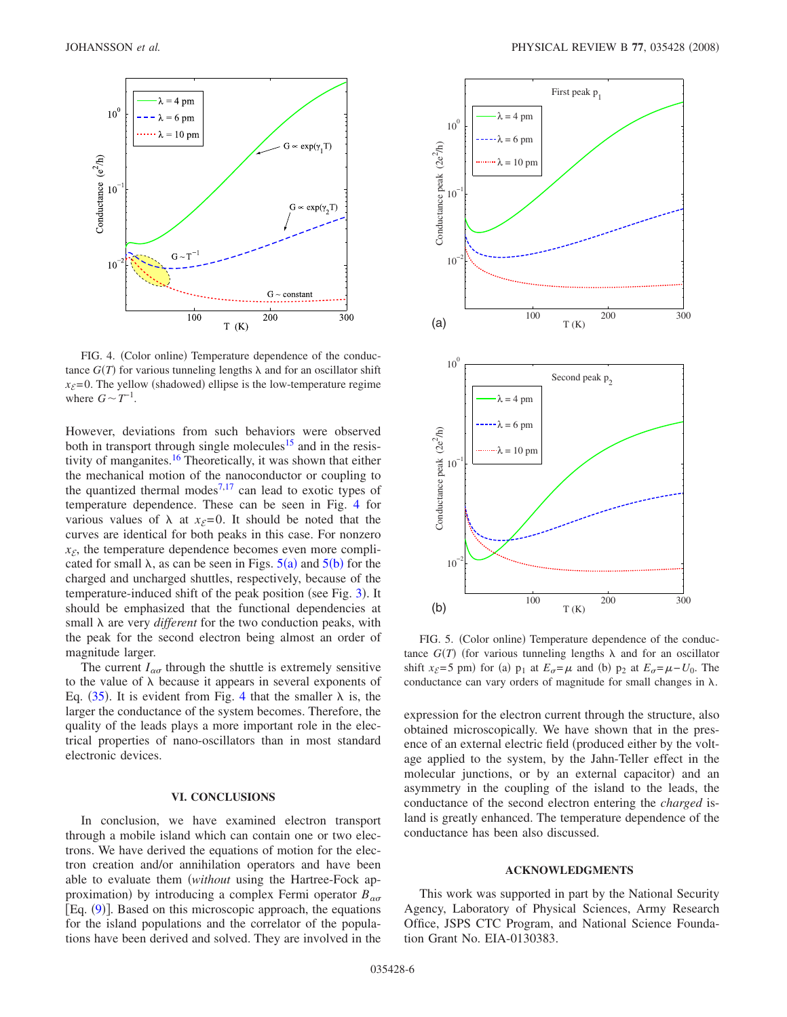<span id="page-5-0"></span>

FIG. 4. (Color online) Temperature dependence of the conductance  $G(T)$  for various tunneling lengths  $\lambda$  and for an oscillator shift  $x_{\mathcal{E}} = 0$ . The yellow (shadowed) ellipse is the low-temperature regime where  $G \sim T^{-1}$ .

However, deviations from such behaviors were observed both in transport through single molecules<sup>15</sup> and in the resistivity of manganites.<sup>16</sup> Theoretically, it was shown that either the mechanical motion of the nanoconductor or coupling to the quantized thermal modes<sup>7[,17](#page-6-16)</sup> can lead to exotic types of temperature dependence. These can be seen in Fig. [4](#page-5-0) for various values of  $\lambda$  at  $x_{\mathcal{E}} = 0$ . It should be noted that the curves are identical for both peaks in this case. For nonzero  $x<sub>\epsilon</sub>$ , the temperature dependence becomes even more complicated for small  $\lambda$ , as can be seen in Figs.  $5(a)$  $5(a)$  and  $5(b)$  for the charged and uncharged shuttles, respectively, because of the temperature-induced shift of the peak position (see Fig. [3](#page-4-0)). It should be emphasized that the functional dependencies at small  $\lambda$  are very *different* for the two conduction peaks, with the peak for the second electron being almost an order of magnitude larger.

The current  $I_{\alpha\sigma}$  through the shuttle is extremely sensitive to the value of  $\lambda$  because it appears in several exponents of Eq. ([35](#page-4-1)). It is evident from Fig. [4](#page-5-0) that the smaller  $\lambda$  is, the larger the conductance of the system becomes. Therefore, the quality of the leads plays a more important role in the electrical properties of nano-oscillators than in most standard electronic devices.

## **VI. CONCLUSIONS**

In conclusion, we have examined electron transport through a mobile island which can contain one or two electrons. We have derived the equations of motion for the electron creation and/or annihilation operators and have been able to evaluate them *without* using the Hartree-Fock approximation) by introducing a complex Fermi operator  $B_{\alpha\sigma}$ [Eq. ([9](#page-2-5))]. Based on this microscopic approach, the equations for the island populations and the correlator of the populations have been derived and solved. They are involved in the

<span id="page-5-1"></span>

FIG. 5. (Color online) Temperature dependence of the conductance  $G(T)$  (for various tunneling lengths  $\lambda$  and for an oscillator shift  $x_{\mathcal{E}} = 5$  pm) for (a)  $p_1$  at  $E_{\sigma} = \mu$  and (b)  $p_2$  at  $E_{\sigma} = \mu - U_0$ . The conductance can vary orders of magnitude for small changes in  $\lambda$ .

expression for the electron current through the structure, also obtained microscopically. We have shown that in the presence of an external electric field (produced either by the voltage applied to the system, by the Jahn-Teller effect in the molecular junctions, or by an external capacitor) and an asymmetry in the coupling of the island to the leads, the conductance of the second electron entering the *charged* island is greatly enhanced. The temperature dependence of the conductance has been also discussed.

#### **ACKNOWLEDGMENTS**

This work was supported in part by the National Security Agency, Laboratory of Physical Sciences, Army Research Office, JSPS CTC Program, and National Science Foundation Grant No. EIA-0130383.